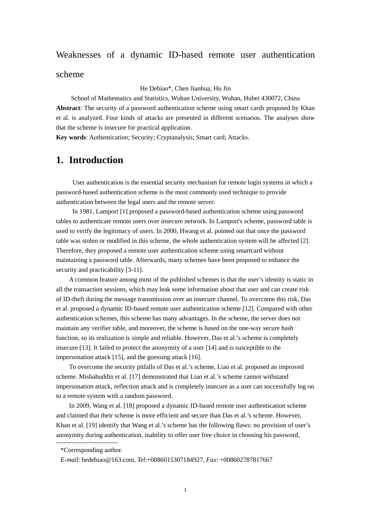# Weaknesses of a dynamic ID-based remote user authentication

### scheme

He Debiao\*, Chen Jianhua, Hu Jin

School of Mathematics and Statistics, Wuhan University, Wuhan, Hubei 430072, China **Abstract**: The security of a password authentication scheme using smart cards proposed by Khan et al. is analyzed. Four kinds of attacks are presented in different scenarios. The analyses show that the scheme is insecure for practical application.

**Key words**: Authentication; Security; Cryptanalysis; Smart card; Attacks.

## **1. Introduction**

 User authentication is the essential security mechanism for remote login systems in which a password-based authentication scheme is the most commonly used technique to provide authentication between the legal users and the remote server.

 In 1981, Lamport [1] proposed a password-based authentication scheme using password tables to authenticate remote users over insecure network. In Lamport's scheme, password table is used to verify the legitimacy of users. In 2000, Hwang et al. pointed out that once the password table was stolen or modified in this scheme, the whole authentication system will be affected [2]. Therefore, they proposed a remote user authentication scheme using smartcard without maintaining a password table. Afterwards, many schemes have been proposed to enhance the security and practicability [3-11].

A common feature among most of the published schemes is that the user's identity is static in all the transaction sessions, which may leak some information about that user and can create risk of ID-theft during the message transmission over an insecure channel. To overcome this risk, Das et al. proposed a dynamic ID-based remote user authentication scheme [12]. Compared with other authentication schemes, this scheme has many advantages. In the scheme, the server does not maintain any verifier table, and moreover, the scheme is based on the one-way secure hash function, so its realization is simple and reliable. However, Das et al.'s scheme is completely insecure [13]. It failed to protect the anonymity of a user [14] and is susceptible to the impersonation attack [15], and the guessing attack [16].

To overcome the security pitfalls of Das et al.'s scheme, Liao et al. proposed an improved scheme. Misbahuddin et al. [17] demonstrated that Liao et al.'s scheme cannot withstand impersonation attack, reflection attack and is completely insecure as a user can successfully log on to a remote system with a random password.

In 2009, Wang et al. [18] proposed a dynamic ID-based remote user authentication scheme and claimed that their scheme is more efficient and secure than Das et al.'s scheme. However, Khan et al. [19] identify that Wang et al.'s scheme has the following flaws: no provision of user's anonymity during authentication, inability to offer user free choice in choosing his password,

<sup>\*</sup>Corresponding author.

*E-mail*: hedebiao@163.com, *Tel*:+0086015307184927, *Fax*: +008602787817667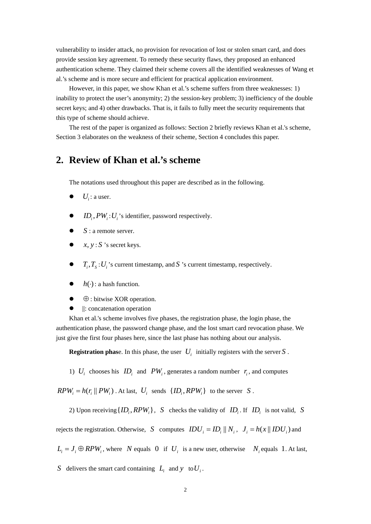vulnerability to insider attack, no provision for revocation of lost or stolen smart card, and does provide session key agreement. To remedy these security flaws, they proposed an enhanced authentication scheme. They claimed their scheme covers all the identified weaknesses of Wang et al.'s scheme and is more secure and efficient for practical application environment.

However, in this paper, we show Khan et al.'s scheme suffers from three weaknesses: 1) inability to protect the user's anonymity; 2) the session-key problem; 3) inefficiency of the double secret keys; and 4) other drawbacks. That is, it fails to fully meet the security requirements that this type of scheme should achieve.

The rest of the paper is organized as follows: Section 2 briefly reviews Khan et al.'s scheme, Section 3 elaborates on the weakness of their scheme, Section 4 concludes this paper.

## **2. Review of Khan et al.'s scheme**

The notations used throughout this paper are described as in the following.

- $\bullet$  *U<sub>i</sub>*: a user.
- $\bullet$  *ID<sub>i</sub>*, *PW<sub>i</sub>* : *U<sub>i</sub>*'s identifier, password respectively.
- $\bullet$  *S* : a remote server.
- $\bullet$   $x, y: S$  's secret keys.
- $\bullet$   $T_i, T_s: U_i$ 's current timestamp, and *S* 's current timestamp, respectively.
- $\bullet$  *h*( $\cdot$ ): a hash function.
- $\bullet$   $\oplus$  : bitwise XOR operation.
- $\bullet$   $||:$  concatenation operation

Khan et al.'s scheme involves five phases, the registration phase, the login phase, the authentication phase, the password change phase, and the lost smart card revocation phase. We just give the first four phases here, since the last phase has nothing about our analysis.

**Registration phase.** In this phase, the user  $U_i$  initially registers with the server *S*.

1)  $U_i$  chooses his  $ID_i$  and  $PW_i$ , generates a random number  $r_i$ , and computes

 $RPW_i = h(r_i || PW_i)$ . At last,  $U_i$  sends  $\{ID_i, RPW_i\}$  to the server *S*.

2) Upon receiving  $\{ID_i, RPW_i\}$ , *S* checks the validity of  $ID_i$ . If  $ID_i$  is not valid, *S* 

rejects the registration. Otherwise, *S* computes  $IDU_i = ID_i || N_i, J_i = h(x || IDU_i)$  and

 $L_i = J_i \oplus RPW_i$ , where *N* equals 0 if  $U_i$  is a new user, otherwise  $N_i$  equals 1. At last,

*S* delivers the smart card containing  $L_i$  and  $y$  to  $U_i$ .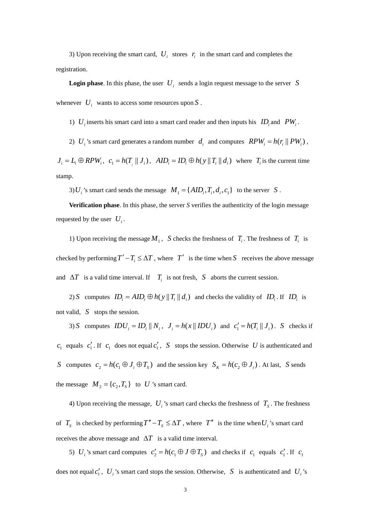3) Upon receiving the smart card,  $U_i$  stores  $r_i$  in the smart card and completes the registration.

**Login phase.** In this phase, the user  $U_i$  sends a login request message to the server *S* whenever  $U_i$  wants to access some resources upon  $S$ .

1)  $U_i$  inserts his smart card into a smart card reader and then inputs his  $ID_i$  and  $PW_i$ .

2)  $U_i$ 's smart card generates a random number  $d_i$  and computes  $RPW_i = h(r_i || PW_i)$ ,

 $J_i = L_i \oplus RPW_i$ ,  $c_1 = h(T_i || J_i)$ ,  $AID_i = ID_i \oplus h(y || T_i || d_i)$  where  $T_i$  is the current time stamp.

3)  $U_i$  's smart card sends the message  $M_i = \{AID_i, T_i, d_i, c_i\}$  to the server *S*.

**Verification phase**. In this phase, the server *S* verifies the authenticity of the login message requested by the user  $U_i$ .

1) Upon receiving the message  $M_1$ , *S* checks the freshness of  $T_i$ . The freshness of  $T_i$  is checked by performing  $T' - T_i \leq \Delta T$ , where  $T'$  is the time when *S* receives the above message and  $\Delta T$  is a valid time interval. If  $T_i$  is not fresh, *S* aborts the current session.

2) *S* computes  $ID_i = AID_i \oplus h(y || T_i || d_i)$  and checks the validity of  $ID_i$ . If  $ID_i$  is not valid, *S* stops the session.

3) *S* computes  $IDU_i = ID_i || N_i, J_i = h(x || IDU_i)$  and  $c'_i = h(T_i || J_i)$ . *S* checks if  $c_1$  equals  $c'_1$ . If  $c_1$  does not equal  $c'_1$ , *S* stops the session. Otherwise *U* is authenticated and *S* computes  $c_2 = h(c_1 \oplus J_i \oplus T_s)$  and the session key  $S_K = h(c_2 \oplus J_i)$ . At last, *S* sends the message  $M_2 = \{c_2, T_s\}$  to *U* 's smart card.

4) Upon receiving the message,  $U_i$ 's smart card checks the freshness of  $T_s$ . The freshness of  $T_s$  is checked by performing  $T'' - T_s \leq \Delta T$ , where  $T''$  is the time when  $U_i$ 's smart card receives the above message and  $\Delta T$  is a valid time interval.

5) *U<sub>i</sub>* 's smart card computes  $c'_2 = h(c_1 \oplus J \oplus T_s)$  and checks if  $c_1$  equals  $c'_1$ . If  $c_1$ does not equal  $c'_1$ ,  $U_i$ 's smart card stops the session. Otherwise, *S* is authenticated and  $U_i$ 's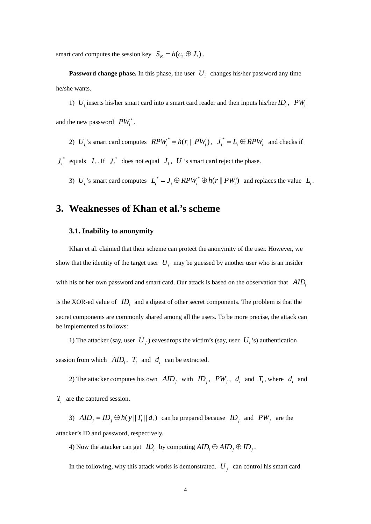smart card computes the session key  $S_K = h(c_2 \oplus J_i)$ .

**Password change phase.** In this phase, the user  $U_i$  changes his/her password any time he/she wants.

1)  $U_i$  inserts his/her smart card into a smart card reader and then inputs his/her  $ID_i$ ,  $PW_i$ and the new password  $PW'_i$ .

2)  $U_i$ 's smart card computes  $RPW_i^* = h(r_i || PW_i)$ ,  $J_i^* = L_i \oplus RPW_i$  and checks if  $J_i^*$  equals  $J_i$ . If  $J_i^*$  does not equal  $J_i$ ,  $U$  's smart card reject the phase.

3) *U<sub>i</sub>* 's smart card computes  $L_i^* = J_i \oplus RPW_i^* \oplus h(r \parallel PW_i')$  and replaces the value  $L_i$ .

# **3. Weaknesses of Khan et al.'s scheme**

#### **3.1. Inability to anonymity**

Khan et al. claimed that their scheme can protect the anonymity of the user. However, we show that the identity of the target user  $U_i$  may be guessed by another user who is an insider with his or her own password and smart card. Our attack is based on the observation that *AIDi* is the XOR-ed value of  $ID_i$  and a digest of other secret components. The problem is that the secret components are commonly shared among all the users. To be more precise, the attack can be implemented as follows:

1) The attacker (say, user  $U_i$ ) eavesdrops the victim's (say, user  $U_i$ 's) authentication session from which  $AID_i$ ,  $T_i$  and  $d_i$  can be extracted.

2) The attacker computes his own  $AID_i$  with  $ID_i$ ,  $PW_i$ ,  $d_i$  and  $T_i$ , where  $d_i$  and *T<sub>i</sub>* are the captured session.

3)  $AID_i = ID_i \oplus h(y || T_i || d_i)$  can be prepared because  $ID_i$  and  $PW_i$  are the attacker's ID and password, respectively.

4) Now the attacker can get *ID*<sub>*i*</sub> by computing  $AID_i \oplus AID_j \oplus ID_j$ .

In the following, why this attack works is demonstrated.  $U_i$  can control his smart card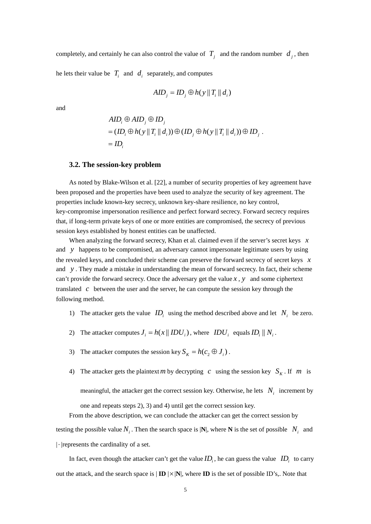completely, and certainly he can also control the value of  $T_i$  and the random number  $d_i$ , then

he lets their value be  $T_i$  and  $d_i$  separately, and computes

$$
AID_j = ID_j \oplus h(y || T_i || d_i)
$$

and

$$
AID_i \oplus AID_j \oplus ID_j
$$
  
=  $(ID_i \oplus h(y || T_i || d_i)) \oplus (ID_j \oplus h(y || T_i || d_i)) \oplus ID_j$ .  
=  $ID_i$ 

#### **3.2. The session-key problem**

As noted by Blake-Wilson et al. [22], a number of security properties of key agreement have been proposed and the properties have been used to analyze the security of key agreement. The properties include known-key secrecy, unknown key-share resilience, no key control, key-compromise impersonation resilience and perfect forward secrecy. Forward secrecy requires that, if long-term private keys of one or more entities are compromised, the secrecy of previous session keys established by honest entities can be unaffected.

When analyzing the forward secrecy, Khan et al. claimed even if the server's secret keys *x* and *y* happens to be compromised, an adversary cannot impersonate legitimate users by using the revealed keys, and concluded their scheme can preserve the forward secrecy of secret keys *x* and *y* . They made a mistake in understanding the mean of forward secrecy. In fact, their scheme can't provide the forward secrecy. Once the adversary get the value *x* , *y* and some ciphertext translated *c* between the user and the server, he can compute the session key through the following method.

- 1) The attacker gets the value  $ID_i$  using the method described above and let  $N_i$  be zero.
- 2) The attacker computes  $J_i = h(x || IDU_i)$ , where  $IDU_i$  equals  $ID_i || N_i$ .
- 3) The attacker computes the session key  $S_K = h(c_2 \oplus J_i)$ .
- 4) The attacker gets the plaintext m by decrypting *c* using the session key  $S_K$ . If m is

meaningful, the attacker get the correct session key. Otherwise, he lets  $N_i$  increment by one and repeats steps 2), 3) and 4) until get the correct session key.

From the above description, we can conclude the attacker can get the correct session by testing the possible value  $N_i$ . Then the search space is  $|N|$ , where N is the set of possible  $N_i$  and |⋅ |represents the cardinality of a set.

In fact, even though the attacker can't get the value  $ID_i$ , he can guess the value  $ID_i$  to carry out the attack, and the search space is  $|\mathbf{ID}| \times |\mathbf{N}|$ , where  $\mathbf{ID}$  is the set of possible ID's,. Note that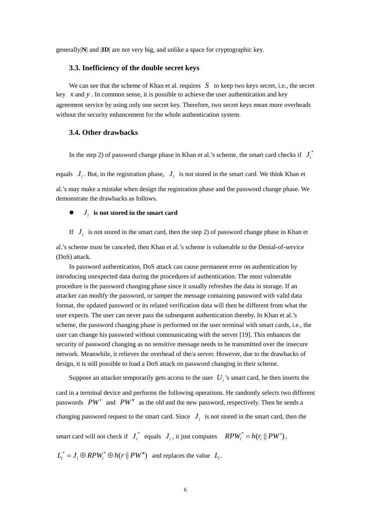generally|**N**| and |**ID**| are not very big, and unlike a space for cryptographic key.

#### **3.3. Inefficiency of the double secret keys**

We can see that the scheme of Khan et al. requires *S* to keep two keys secret, i.e., the secret key *x* and *y* . In common sense, it is possible to achieve the user authentication and key agreement service by using only one secret key. Therefore, two secret keys mean more overheads without the security enhancement for the whole authentication system.

#### **3.4. Other drawbacks**

In the step 2) of password change phase in Khan et al.'s scheme, the smart card checks if  $J_i^*$ 

equals  $J_i$ . But, in the registration phase,  $J_i$  is not stored in the smart card. We think Khan et al.'s may make a mistake when design the registration phase and the password change phase. We demonstrate the drawbacks as follows.

#### $\bullet$  *J<sub>i</sub>* is not stored in the smart card

If  $J_i$  is not stored in the smart card, then the step 2) of password change phase in Khan et

al.'s scheme must be canceled, then Khan et al.'s scheme is vulnerable to the Denial-of-service (DoS) attack.

In password authentication, DoS attack can cause permanent error on authentication by introducing unexpected data during the procedures of authentication. The most vulnerable procedure is the password changing phase since it usually refreshes the data in storage. If an attacker can modify the password, or tamper the message containing password with valid data format, the updated password or its related verification data will then be different from what the user expects. The user can never pass the subsequent authentication thereby. In Khan et al.'s scheme, the password changing phase is performed on the user terminal with smart cards, i.e., the user can change his password without communicating with the server [19]. This enhances the security of password changing as no sensitive message needs to be transmitted over the insecure network. Meanwhile, it relieves the overhead of the/a server. However, due to the drawbacks of design, it is still possible to load a DoS attack on password changing in their scheme.

Suppose an attacker temporarily gets access to the user  $U_i$ 's smart card, he then inserts the card in a terminal device and performs the following operations. He randomly selects two different passwords *PW*′ and *PW*′′ as the old and the new password, respectively. Then he sends a changing password request to the smart card. Since  $J_i$  is not stored in the smart card, then the smart card will not check if  $J_i^*$  equals  $J_i$ , it just computes  $RPW_i^* = h(r_i || PW')$ ,  $L_i^* = J_i \oplus RPW_i^* \oplus h(r || PW'')$  and replaces the value  $L_i$ .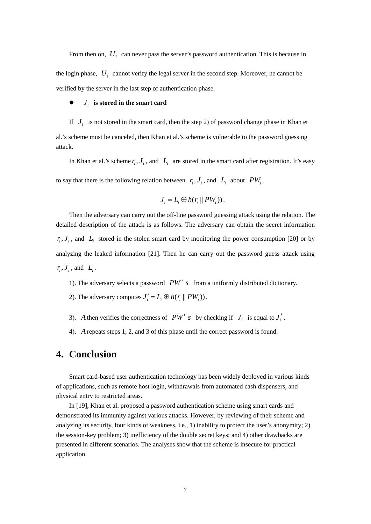From then on,  $U_i$  can never pass the server's password authentication. This is because in the login phase,  $U_i$  cannot verify the legal server in the second step. Moreover, he cannot be verified by the server in the last step of authentication phase.

#### $\bullet$  *J<sub>i</sub>* is stored in the smart card

If  $J_i$  is not stored in the smart card, then the step 2) of password change phase in Khan et al.'s scheme must be canceled, then Khan et al.'s scheme is vulnerable to the password guessing attack.

In Khan et al.'s scheme  $r_i$ ,  $J_i$ , and  $L_i$  are stored in the smart card after registration. It's easy to say that there is the following relation between  $r_i, J_i$ , and  $L_i$  about  $PW_i$ .

$$
J_i = L_i \oplus h(r_i \parallel PW_i)).
$$

Then the adversary can carry out the off-line password guessing attack using the relation. The detailed description of the attack is as follows. The adversary can obtain the secret information  $r_i, J_i$ , and  $L_i$  stored in the stolen smart card by monitoring the power consumption [20] or by analyzing the leaked information [21]. Then he can carry out the password guess attack using  $r_i, J_i$ , and  $L_i$ .

1). The adversary selects a password *PW* ′ *s* from a uniformly distributed dictionary.

- 2). The adversary computes  $J_i' = L_i \oplus h(r_i || PW_i')$ .
- 3). *A* then verifies the correctness of *PW' s* by checking if  $J_i$  is equal to  $J_i'$ .

4). *A* repeats steps 1, 2, and 3 of this phase until the correct password is found.

# **4. Conclusion**

Smart card-based user authentication technology has been widely deployed in various kinds of applications, such as remote host login, withdrawals from automated cash dispensers, and physical entry to restricted areas.

In [19], Khan et al. proposed a password authentication scheme using smart cards and demonstrated its immunity against various attacks. However, by reviewing of their scheme and analyzing its security, four kinds of weakness, i.e., 1) inability to protect the user's anonymity; 2) the session-key problem; 3) inefficiency of the double secret keys; and 4) other drawbacks are presented in different scenarios. The analyses show that the scheme is insecure for practical application.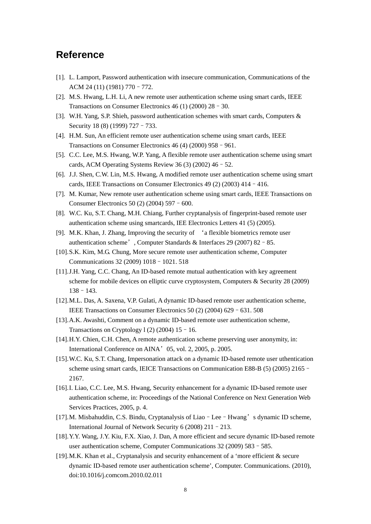# **Reference**

- [1]. L. Lamport, Password authentication with insecure communication, Communications of the ACM 24 (11) (1981) 770–772.
- [2]. M.S. Hwang, L.H. Li, A new remote user authentication scheme using smart cards, IEEE Transactions on Consumer Electronics 46 (1) (2000) 28–30.
- [3]. W.H. Yang, S.P. Shieh, password authentication schemes with smart cards, Computers & Security 18 (8) (1999) 727 - 733.
- [4]. H.M. Sun, An efficient remote user authentication scheme using smart cards, IEEE Transactions on Consumer Electronics 46 (4) (2000) 958–961.
- [5]. C.C. Lee, M.S. Hwang, W.P. Yang, A flexible remote user authentication scheme using smart cards, ACM Operating Systems Review 36 (3) (2002) 46 - 52.
- [6]. J.J. Shen, C.W. Lin, M.S. Hwang, A modified remote user authentication scheme using smart cards, IEEE Transactions on Consumer Electronics 49 (2) (2003) 414–416.
- [7]. M. Kumar, New remote user authentication scheme using smart cards, IEEE Transactions on Consumer Electronics 50 (2) (2004) 597–600.
- [8]. W.C. Ku, S.T. Chang, M.H. Chiang, Further cryptanalysis of fingerprint-based remote user authentication scheme using smartcards, IEE Electronics Letters 41 (5) (2005).
- [9]. M.K. Khan, J. Zhang, Improving the security of 'a flexible biometrics remote user authentication scheme', Computer Standards & Interfaces 29 (2007) 82 - 85.
- [10].S.K. Kim, M.G. Chung, More secure remote user authentication scheme, Computer Communications 32 (2009) 1018–1021. 518
- [11].J.H. Yang, C.C. Chang, An ID-based remote mutual authentication with key agreement scheme for mobile devices on elliptic curve cryptosystem, Computers & Security 28 (2009) 138–143.
- [12].M.L. Das, A. Saxena, V.P. Gulati, A dynamic ID-based remote user authentication scheme, IEEE Transactions on Consumer Electronics 50 (2) (2004) 629–631. 508
- [13].A.K. Awashti, Comment on a dynamic ID-based remote user authentication scheme, Transactions on Cryptology 1 (2) (2004) 15 - 16.
- [14].H.Y. Chien, C.H. Chen, A remote authentication scheme preserving user anonymity, in: International Conference on AINA'05, vol. 2, 2005, p. 2005.
- [15].W.C. Ku, S.T. Chang, Impersonation attack on a dynamic ID-based remote user uthentication scheme using smart cards, IEICE Transactions on Communication E88-B (5) (2005) 2165– 2167.
- [16].I. Liao, C.C. Lee, M.S. Hwang, Security enhancement for a dynamic ID-based remote user authentication scheme, in: Proceedings of the National Conference on Next Generation Web Services Practices, 2005, p. 4.
- [17].M. Misbahuddin, C.S. Bindu, Cryptanalysis of Liao–Lee–Hwang's dynamic ID scheme, International Journal of Network Security 6 (2008) 211–213.
- [18].Y.Y. Wang, J.Y. Kiu, F.X. Xiao, J. Dan, A more efficient and secure dynamic ID-based remote user authentication scheme, Computer Communications 32 (2009) 583–585.
- [19].M.K. Khan et al., Cryptanalysis and security enhancement of a 'more efficient & secure dynamic ID-based remote user authentication scheme', Computer. Communications. (2010), doi:10.1016/j.comcom.2010.02.011